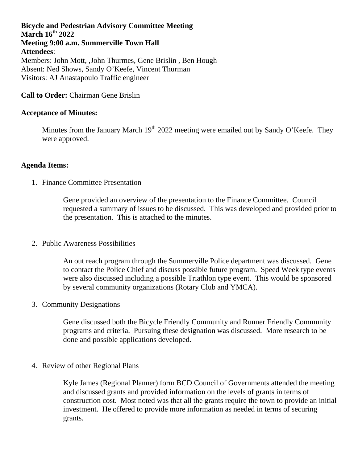# **Bicycle and Pedestrian Advisory Committee Meeting March 16th 2022 Meeting 9:00 a.m. Summerville Town Hall Attendees**: Members: John Mott, ,John Thurmes, Gene Brislin , Ben Hough

Absent: Ned Shows, Sandy O'Keefe, Vincent Thurman Visitors: AJ Anastapoulo Traffic engineer

# **Call to Order:** Chairman Gene Brislin

## **Acceptance of Minutes:**

Minutes from the January March  $19<sup>th</sup> 2022$  meeting were emailed out by Sandy O'Keefe. They were approved.

## **Agenda Items:**

1. Finance Committee Presentation

Gene provided an overview of the presentation to the Finance Committee. Council requested a summary of issues to be discussed. This was developed and provided prior to the presentation. This is attached to the minutes.

2. Public Awareness Possibilities

An out reach program through the Summerville Police department was discussed. Gene to contact the Police Chief and discuss possible future program. Speed Week type events were also discussed including a possible Triathlon type event. This would be sponsored by several community organizations (Rotary Club and YMCA).

3. Community Designations

Gene discussed both the Bicycle Friendly Community and Runner Friendly Community programs and criteria. Pursuing these designation was discussed. More research to be done and possible applications developed.

4. Review of other Regional Plans

Kyle James (Regional Planner) form BCD Council of Governments attended the meeting and discussed grants and provided information on the levels of grants in terms of construction cost. Most noted was that all the grants require the town to provide an initial investment. He offered to provide more information as needed in terms of securing grants.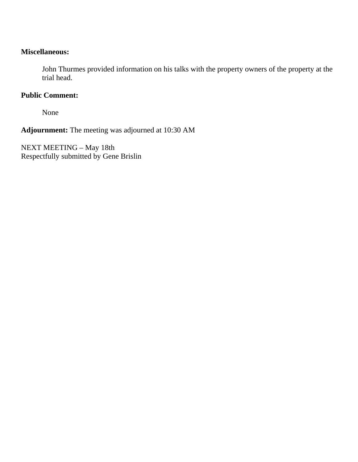## **Miscellaneous:**

John Thurmes provided information on his talks with the property owners of the property at the trial head.

# **Public Comment:**

None

**Adjournment:** The meeting was adjourned at 10:30 AM

NEXT MEETING – May 18th Respectfully submitted by Gene Brislin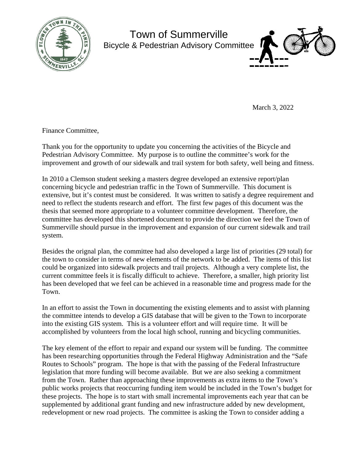

Town of Summerville Bicycle & Pedestrian Advisory Committee



March 3, 2022

Finance Committee,

Thank you for the opportunity to update you concerning the activities of the Bicycle and Pedestrian Advisory Committee. My purpose is to outline the committee's work for the improvement and growth of our sidewalk and trail system for both safety, well being and fitness.

In 2010 a Clemson student seeking a masters degree developed an extensive report/plan concerning bicycle and pedestrian traffic in the Town of Summerville. This document is extensive, but it's contest must be considered. It was written to satisfy a degree requirement and need to reflect the students research and effort. The first few pages of this document was the thesis that seemed more appropriate to a volunteer committee development. Therefore, the committee has developed this shortened document to provide the direction we feel the Town of Summerville should pursue in the improvement and expansion of our current sidewalk and trail system.

Besides the orignal plan, the committee had also developed a large list of priorities (29 total) for the town to consider in terms of new elements of the network to be added. The items of this list could be organized into sidewalk projects and trail projects. Although a very complete list, the current committee feels it is fiscally difficult to achieve. Therefore, a smaller, high priority list has been developed that we feel can be achieved in a reasonable time and progress made for the Town.

In an effort to assist the Town in documenting the existing elements and to assist with planning the committee intends to develop a GIS database that will be given to the Town to incorporate into the existing GIS system. This is a volunteer effort and will require time. It will be accomplished by volunteers from the local high school, running and bicycling communities.

The key element of the effort to repair and expand our system will be funding. The committee has been researching opportunities through the Federal Highway Administration and the "Safe Routes to Schools" program. The hope is that with the passing of the Federal Infrastructure legislation that more funding will become available. But we are also seeking a commitment from the Town. Rather than approaching these improvements as extra items to the Town's public works projects that reoccurring funding item would be included in the Town's budget for these projects. The hope is to start with small incremental improvements each year that can be supplemented by additional grant funding and new infrastructure added by new development, redevelopment or new road projects. The committee is asking the Town to consider adding a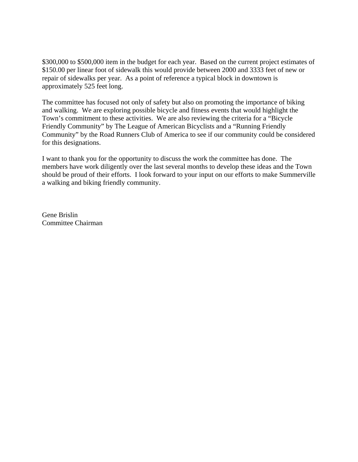\$300,000 to \$500,000 item in the budget for each year. Based on the current project estimates of \$150.00 per linear foot of sidewalk this would provide between 2000 and 3333 feet of new or repair of sidewalks per year. As a point of reference a typical block in downtown is approximately 525 feet long.

The committee has focused not only of safety but also on promoting the importance of biking and walking. We are exploring possible bicycle and fitness events that would highlight the Town's commitment to these activities. We are also reviewing the criteria for a "Bicycle Friendly Community" by The League of American Bicyclists and a "Running Friendly Community" by the Road Runners Club of America to see if our community could be considered for this designations.

I want to thank you for the opportunity to discuss the work the committee has done. The members have work diligently over the last several months to develop these ideas and the Town should be proud of their efforts. I look forward to your input on our efforts to make Summerville a walking and biking friendly community.

Gene Brislin Committee Chairman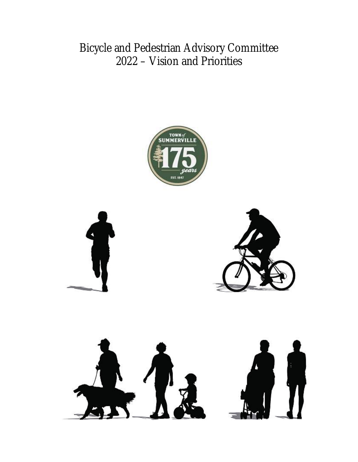Bicycle and Pedestrian Advisory Committee 2022 – Vision and Priorities



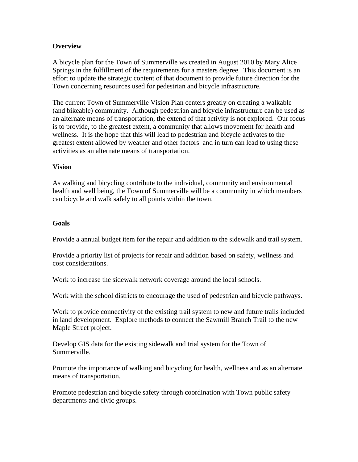### **Overview**

A bicycle plan for the Town of Summerville ws created in August 2010 by Mary Alice Springs in the fulfillment of the requirements for a masters degree. This document is an effort to update the strategic content of that document to provide future direction for the Town concerning resources used for pedestrian and bicycle infrastructure.

The current Town of Summerville Vision Plan centers greatly on creating a walkable (and bikeable) community. Although pedestrian and bicycle infrastructure can be used as an alternate means of transportation, the extend of that activity is not explored. Our focus is to provide, to the greatest extent, a community that allows movement for health and wellness. It is the hope that this will lead to pedestrian and bicycle activates to the greatest extent allowed by weather and other factors and in turn can lead to using these activities as an alternate means of transportation.

#### **Vision**

As walking and bicycling contribute to the individual, community and environmental health and well being, the Town of Summerville will be a community in which members can bicycle and walk safely to all points within the town.

#### **Goals**

Provide a annual budget item for the repair and addition to the sidewalk and trail system.

Provide a priority list of projects for repair and addition based on safety, wellness and cost considerations.

Work to increase the sidewalk network coverage around the local schools.

Work with the school districts to encourage the used of pedestrian and bicycle pathways.

Work to provide connectivity of the existing trail system to new and future trails included in land development. Explore methods to connect the Sawmill Branch Trail to the new Maple Street project.

Develop GIS data for the existing sidewalk and trial system for the Town of Summerville.

Promote the importance of walking and bicycling for health, wellness and as an alternate means of transportation.

Promote pedestrian and bicycle safety through coordination with Town public safety departments and civic groups.